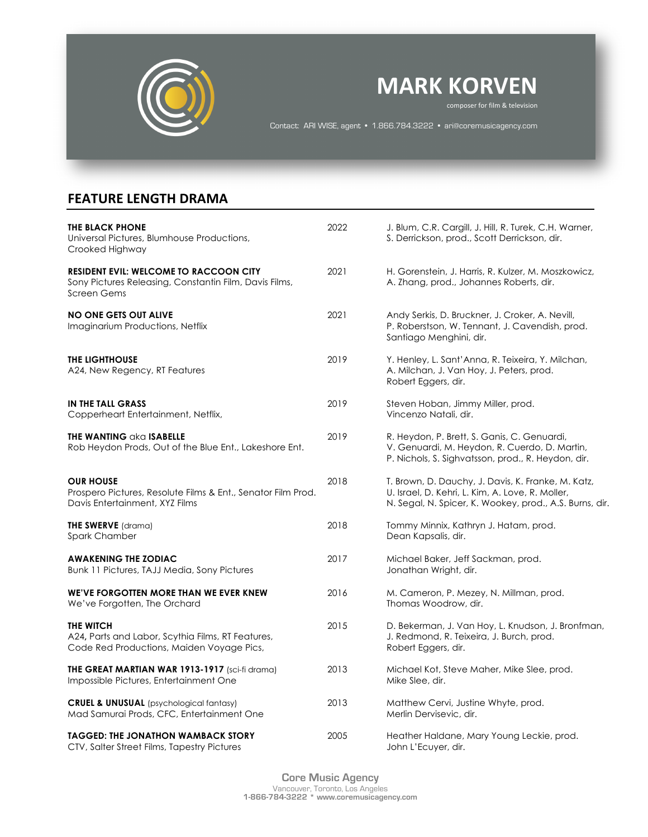

# **MARK KORVEN**

composer for film & television

Contact: ARI WISE, agent • 1.866.784.3222 • ari@coremusicagency.com

## **FEATURE LENGTH DRAMA**

| <b>THE BLACK PHONE</b><br>Universal Pictures, Blumhouse Productions,<br>Crooked Highway                                       | 2022 | J. Blum, C.R. Cargill, J. Hill, R. Turek, C.H. Warner,<br>S. Derrickson, prod., Scott Derrickson, dir.                                                            |
|-------------------------------------------------------------------------------------------------------------------------------|------|-------------------------------------------------------------------------------------------------------------------------------------------------------------------|
| <b>RESIDENT EVIL: WELCOME TO RACCOON CITY</b><br>Sony Pictures Releasing, Constantin Film, Davis Films,<br><b>Screen Gems</b> | 2021 | H. Gorenstein, J. Harris, R. Kulzer, M. Moszkowicz,<br>A. Zhang, prod., Johannes Roberts, dir.                                                                    |
| <b>NO ONE GETS OUT ALIVE</b><br>Imaginarium Productions, Netflix                                                              | 2021 | Andy Serkis, D. Bruckner, J. Croker, A. Nevill,<br>P. Roberstson, W. Tennant, J. Cavendish, prod.<br>Santiago Menghini, dir.                                      |
| <b>THE LIGHTHOUSE</b><br>A24, New Regency, RT Features                                                                        | 2019 | Y. Henley, L. Sant'Anna, R. Teixeira, Y. Milchan,<br>A. Milchan, J. Van Hoy, J. Peters, prod.<br>Robert Eggers, dir.                                              |
| IN THE TALL GRASS<br>Copperheart Entertainment, Netflix,                                                                      | 2019 | Steven Hoban, Jimmy Miller, prod.<br>Vincenzo Natali, dir.                                                                                                        |
| <b>THE WANTING aka ISABELLE</b><br>Rob Heydon Prods, Out of the Blue Ent., Lakeshore Ent.                                     | 2019 | R. Heydon, P. Brett, S. Ganis, C. Genuardi,<br>V. Genuardi, M. Heydon, R. Cuerdo, D. Martin,<br>P. Nichols, S. Sighvatsson, prod., R. Heydon, dir.                |
| <b>OUR HOUSE</b><br>Prospero Pictures, Resolute Films & Ent., Senator Film Prod.<br>Davis Entertainment, XYZ Films            | 2018 | T. Brown, D. Dauchy, J. Davis, K. Franke, M. Katz,<br>U. Israel, D. Kehri, L. Kim, A. Love, R. Moller,<br>N. Segal, N. Spicer, K. Wookey, prod., A.S. Burns, dir. |
| <b>THE SWERVE</b> (drama)<br>Spark Chamber                                                                                    | 2018 | Tommy Minnix, Kathryn J. Hatam, prod.<br>Dean Kapsalis, dir.                                                                                                      |
| <b>AWAKENING THE ZODIAC</b><br>Bunk 11 Pictures, TAJJ Media, Sony Pictures                                                    | 2017 | Michael Baker, Jeff Sackman, prod.<br>Jonathan Wright, dir.                                                                                                       |
| WE'VE FORGOTTEN MORE THAN WE EVER KNEW<br>We've Forgotten, The Orchard                                                        | 2016 | M. Cameron, P. Mezey, N. Millman, prod.<br>Thomas Woodrow, dir.                                                                                                   |
| THE WITCH<br>A24, Parts and Labor, Scythia Films, RT Features,<br>Code Red Productions, Maiden Voyage Pics,                   | 2015 | D. Bekerman, J. Van Hoy, L. Knudson, J. Bronfman,<br>J. Redmond, R. Teixeira, J. Burch, prod.<br>Robert Eggers, dir.                                              |
| THE GREAT MARTIAN WAR 1913-1917 (sci-fi drama)<br>Impossible Pictures, Entertainment One                                      | 2013 | Michael Kot, Steve Maher, Mike Slee, prod.<br>Mike Slee, dir.                                                                                                     |
| <b>CRUEL &amp; UNUSUAL</b> (psychological fantasy)<br>Mad Samurai Prods, CFC, Entertainment One                               | 2013 | Matthew Cervi, Justine Whyte, prod.<br>Merlin Dervisevic, dir.                                                                                                    |
| <b>TAGGED: THE JONATHON WAMBACK STORY</b><br>CTV, Salter Street Films, Tapestry Pictures                                      | 2005 | Heather Haldane, Mary Young Leckie, prod.<br>John L'Ecuyer, dir.                                                                                                  |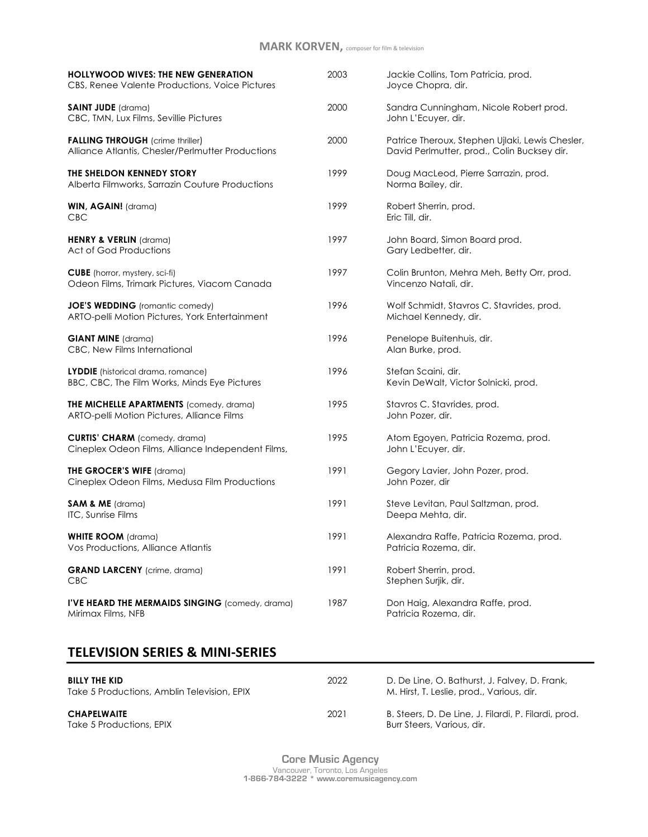## **MARK KORVEN,** composer for film & television

| <b>HOLLYWOOD WIVES: THE NEW GENERATION</b><br>CBS, Renee Valente Productions, Voice Pictures | 2003 | Jackie Collins, Tom Patricia, prod.<br>Joyce Chopra, dir.                                      |
|----------------------------------------------------------------------------------------------|------|------------------------------------------------------------------------------------------------|
| <b>SAINT JUDE</b> (drama)<br>CBC, TMN, Lux Films, Sevillie Pictures                          | 2000 | Sandra Cunningham, Nicole Robert prod.<br>John L'Ecuyer, dir.                                  |
| <b>FALLING THROUGH</b> (crime thriller)<br>Alliance Atlantis, Chesler/Perlmutter Productions | 2000 | Patrice Theroux, Stephen Ujlaki, Lewis Chesler,<br>David Perlmutter, prod., Colin Bucksey dir. |
| THE SHELDON KENNEDY STORY<br>Alberta Filmworks, Sarrazin Couture Productions                 | 1999 | Doug MacLeod, Pierre Sarrazin, prod.<br>Norma Bailey, dir.                                     |
| WIN, AGAIN! (drama)<br>CBC                                                                   | 1999 | Robert Sherrin, prod.<br>Eric Till, dir.                                                       |
| <b>HENRY &amp; VERLIN</b> (drama)<br>Act of God Productions                                  | 1997 | John Board, Simon Board prod.<br>Gary Ledbetter, dir.                                          |
| <b>CUBE</b> (horror, mystery, sci-fi)<br>Odeon Films, Trimark Pictures, Viacom Canada        | 1997 | Colin Brunton, Mehra Meh, Betty Orr, prod.<br>Vincenzo Natali, dir.                            |
| <b>JOE'S WEDDING</b> (romantic comedy)<br>ARTO-pelli Motion Pictures, York Entertainment     | 1996 | Wolf Schmidt, Stavros C. Stavrides, prod.<br>Michael Kennedy, dir.                             |
| <b>GIANT MINE</b> (drama)<br>CBC, New Films International                                    | 1996 | Penelope Buitenhuis, dir.<br>Alan Burke, prod.                                                 |
| LYDDIE (historical drama, romance)<br>BBC, CBC, The Film Works, Minds Eye Pictures           | 1996 | Stefan Scaini, dir.<br>Kevin DeWalt, Victor Solnicki, prod.                                    |
| <b>THE MICHELLE APARTMENTS</b> (comedy, drama)<br>ARTO-pelli Motion Pictures, Alliance Films | 1995 | Stavros C. Stavrides, prod.<br>John Pozer, dir.                                                |
| <b>CURTIS' CHARM</b> (comedy, drama)<br>Cineplex Odeon Films, Alliance Independent Films,    | 1995 | Atom Egoyen, Patricia Rozema, prod.<br>John L'Ecuyer, dir.                                     |
| THE GROCER'S WIFE (drama)<br>Cineplex Odeon Films, Medusa Film Productions                   | 1991 | Gegory Lavier, John Pozer, prod.<br>John Pozer, dir                                            |
| <b>SAM &amp; ME</b> (drama)<br>ITC, Sunrise Films                                            | 1991 | Steve Levitan, Paul Saltzman, prod.<br>Deepa Mehta, dir.                                       |
| <b>WHITE ROOM</b> (drama)<br>Vos Productions, Alliance Atlantis                              | 1991 | Alexandra Raffe, Patricia Rozema, prod.<br>Patricia Rozema, dir.                               |
| <b>GRAND LARCENY</b> (crime, drama)<br><b>CBC</b>                                            | 1991 | Robert Sherrin, prod.<br>Stephen Surjik, dir.                                                  |
| I'VE HEARD THE MERMAIDS SINGING (comedy, drama)<br>Mirimax Films, NFB                        | 1987 | Don Haig, Alexandra Raffe, prod.<br>Patricia Rozema, dir.                                      |
|                                                                                              |      |                                                                                                |

### **TELEVISION SERIES & MINI-SERIES**

| <b>BILLY THE KID</b><br>Take 5 Productions, Amblin Television, EPIX | 2022 | D. De Line, O. Bathurst, J. Falvey, D. Frank,<br>M. Hirst, T. Leslie, prod., Various, dir. |
|---------------------------------------------------------------------|------|--------------------------------------------------------------------------------------------|
| <b>CHAPELWAITE</b><br>Take 5 Productions, EPIX                      | 2021 | B. Steers, D. De Line, J. Filardi, P. Filardi, prod.<br>Burr Steers, Various, dir.         |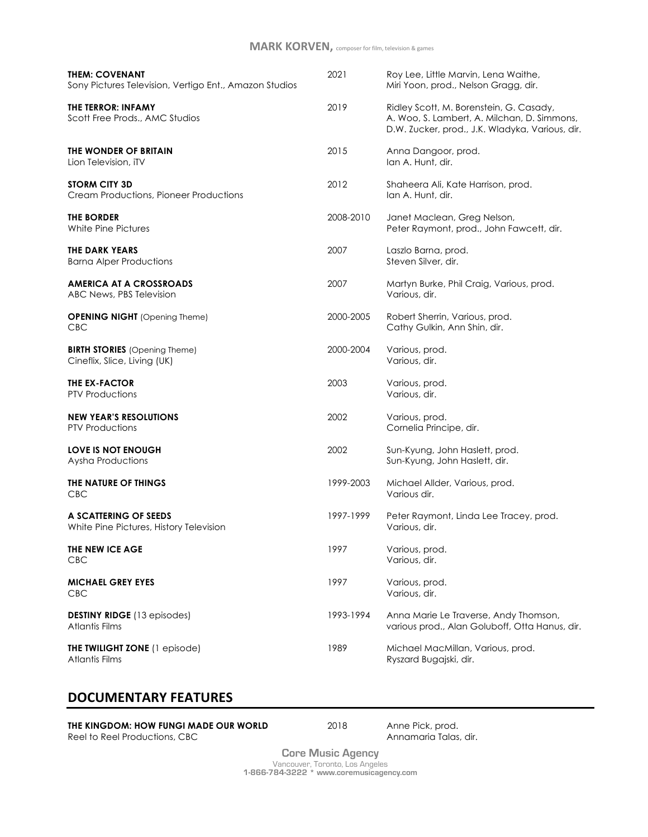| <b>THEM: COVENANT</b><br>Sony Pictures Television, Vertigo Ent., Amazon Studios | 2021      | Roy Lee, Little Marvin, Lena Waithe,<br>Miri Yoon, prod., Nelson Gragg, dir.                                                              |
|---------------------------------------------------------------------------------|-----------|-------------------------------------------------------------------------------------------------------------------------------------------|
| <b>THE TERROR: INFAMY</b><br>Scott Free Prods., AMC Studios                     | 2019      | Ridley Scott, M. Borenstein, G. Casady,<br>A. Woo, S. Lambert, A. Milchan, D. Simmons,<br>D.W. Zucker, prod., J.K. Wladyka, Various, dir. |
| THE WONDER OF BRITAIN<br>Lion Television, iTV                                   | 2015      | Anna Dangoor, prod.<br>lan A. Hunt, dir.                                                                                                  |
| <b>STORM CITY 3D</b><br>Cream Productions, Pioneer Productions                  | 2012      | Shaheera Ali, Kate Harrison, prod.<br>lan A. Hunt, dir.                                                                                   |
| <b>THE BORDER</b><br>White Pine Pictures                                        | 2008-2010 | Janet Maclean, Greg Nelson,<br>Peter Raymont, prod., John Fawcett, dir.                                                                   |
| THE DARK YEARS<br><b>Barna Alper Productions</b>                                | 2007      | Laszlo Barna, prod.<br>Steven Silver, dir.                                                                                                |
| AMERICA AT A CROSSROADS<br>ABC News, PBS Television                             | 2007      | Martyn Burke, Phil Craig, Various, prod.<br>Various, dir.                                                                                 |
| <b>OPENING NIGHT</b> (Opening Theme)<br><b>CBC</b>                              | 2000-2005 | Robert Sherrin, Various, prod.<br>Cathy Gulkin, Ann Shin, dir.                                                                            |
| <b>BIRTH STORIES</b> (Opening Theme)<br>Cineflix, Slice, Living (UK)            | 2000-2004 | Various, prod.<br>Various, dir.                                                                                                           |
| THE EX-FACTOR<br><b>PTV Productions</b>                                         | 2003      | Various, prod.<br>Various, dir.                                                                                                           |
| <b>NEW YEAR'S RESOLUTIONS</b><br><b>PTV Productions</b>                         | 2002      | Various, prod.<br>Cornelia Principe, dir.                                                                                                 |
| <b>LOVE IS NOT ENOUGH</b><br>Aysha Productions                                  | 2002      | Sun-Kyung, John Haslett, prod.<br>Sun-Kyung, John Haslett, dir.                                                                           |
| THE NATURE OF THINGS<br><b>CBC</b>                                              | 1999-2003 | Michael Allder, Various, prod.<br>Various dir.                                                                                            |
| A SCATTERING OF SEEDS<br>White Pine Pictures, History Television                | 1997-1999 | Peter Raymont, Linda Lee Tracey, prod.<br>Various, dir.                                                                                   |
| THE NEW ICE AGE<br><b>CBC</b>                                                   | 1997      | Various, prod.<br>Various, dir.                                                                                                           |
| <b>MICHAEL GREY EYES</b><br><b>CBC</b>                                          | 1997      | Various, prod.<br>Various, dir.                                                                                                           |
| <b>DESTINY RIDGE</b> (13 episodes)<br>Atlantis Films                            | 1993-1994 | Anna Marie Le Traverse, Andy Thomson,<br>various prod., Alan Goluboff, Otta Hanus, dir.                                                   |
| THE TWILIGHT ZONE (1 episode)<br><b>Atlantis Films</b>                          | 1989      | Michael MacMillan, Various, prod.<br>Ryszard Bugajski, dir.                                                                               |

## **DOCUMENTARY FEATURES**

| THE KINGDOM: HOW FUNGI MADE OUR WORLD |
|---------------------------------------|
| Reel to Reel Productions, CBC         |

**D** 2018 Anne Pick, prod. Annamaria Talas, dir.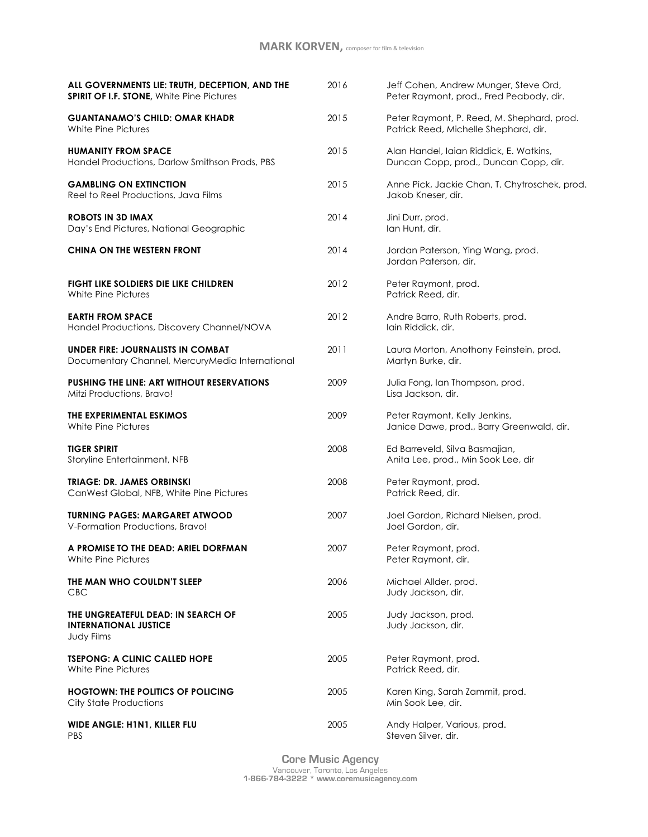| ALL GOVERNMENTS LIE: TRUTH, DECEPTION, AND THE<br><b>SPIRIT OF I.F. STONE, White Pine Pictures</b> | 2016 | Jeff Cohen, Andrew Munger, Steve Ord,<br>Peter Raymont, prod., Fred Peabody, dir.   |
|----------------------------------------------------------------------------------------------------|------|-------------------------------------------------------------------------------------|
| <b>GUANTANAMO'S CHILD: OMAR KHADR</b><br>White Pine Pictures                                       | 2015 | Peter Raymont, P. Reed, M. Shephard, prod.<br>Patrick Reed, Michelle Shephard, dir. |
| <b>HUMANITY FROM SPACE</b><br>Handel Productions, Darlow Smithson Prods, PBS                       | 2015 | Alan Handel, Iaian Riddick, E. Watkins,<br>Duncan Copp, prod., Duncan Copp, dir.    |
| <b>GAMBLING ON EXTINCTION</b><br>Reel to Reel Productions, Java Films                              | 2015 | Anne Pick, Jackie Chan, T. Chytroschek, prod.<br>Jakob Kneser, dir.                 |
| <b>ROBOTS IN 3D IMAX</b><br>Day's End Pictures, National Geographic                                | 2014 | Jini Durr, prod.<br>lan Hunt, dir.                                                  |
| <b>CHINA ON THE WESTERN FRONT</b>                                                                  | 2014 | Jordan Paterson, Ying Wang, prod.<br>Jordan Paterson, dir.                          |
| FIGHT LIKE SOLDIERS DIE LIKE CHILDREN<br>White Pine Pictures                                       | 2012 | Peter Raymont, prod.<br>Patrick Reed, dir.                                          |
| <b>EARTH FROM SPACE</b><br>Handel Productions, Discovery Channel/NOVA                              | 2012 | Andre Barro, Ruth Roberts, prod.<br>lain Riddick, dir.                              |
| <b>UNDER FIRE: JOURNALISTS IN COMBAT</b><br>Documentary Channel, MercuryMedia International        | 2011 | Laura Morton, Anothony Feinstein, prod.<br>Martyn Burke, dir.                       |
| <b>PUSHING THE LINE: ART WITHOUT RESERVATIONS</b><br>Mitzi Productions, Bravo!                     | 2009 | Julia Fong, Ian Thompson, prod.<br>Lisa Jackson, dir.                               |
| THE EXPERIMENTAL ESKIMOS<br>White Pine Pictures                                                    | 2009 | Peter Raymont, Kelly Jenkins,<br>Janice Dawe, prod., Barry Greenwald, dir.          |
| <b>TIGER SPIRIT</b><br>Storyline Entertainment, NFB                                                | 2008 | Ed Barreveld, Silva Basmajian,<br>Anita Lee, prod., Min Sook Lee, dir               |
| <b>TRIAGE: DR. JAMES ORBINSKI</b><br>CanWest Global, NFB, White Pine Pictures                      | 2008 | Peter Raymont, prod.<br>Patrick Reed, dir.                                          |
| <b>TURNING PAGES: MARGARET ATWOOD</b><br>V-Formation Productions, Bravo!                           | 2007 | Joel Gordon, Richard Nielsen, prod.<br>Joel Gordon, dir.                            |
| A PROMISE TO THE DEAD: ARIEL DORFMAN<br>White Pine Pictures                                        | 2007 | Peter Raymont, prod<br>Peter Raymont, dir.                                          |
| THE MAN WHO COULDN'T SLEEP<br><b>CBC</b>                                                           | 2006 | Michael Allder, prod.<br>Judy Jackson, dir.                                         |
| THE UNGREATEFUL DEAD: IN SEARCH OF<br><b>INTERNATIONAL JUSTICE</b><br>Judy Films                   | 2005 | Judy Jackson, prod.<br>Judy Jackson, dir.                                           |
| <b>TSEPONG: A CLINIC CALLED HOPE</b><br>White Pine Pictures                                        | 2005 | Peter Raymont, prod.<br>Patrick Reed, dir.                                          |
| <b>HOGTOWN: THE POLITICS OF POLICING</b><br>City State Productions                                 | 2005 | Karen King, Sarah Zammit, prod.<br>Min Sook Lee, dir.                               |
| WIDE ANGLE: H1N1, KILLER FLU<br>PBS                                                                | 2005 | Andy Halper, Various, prod.<br>Steven Silver, dir.                                  |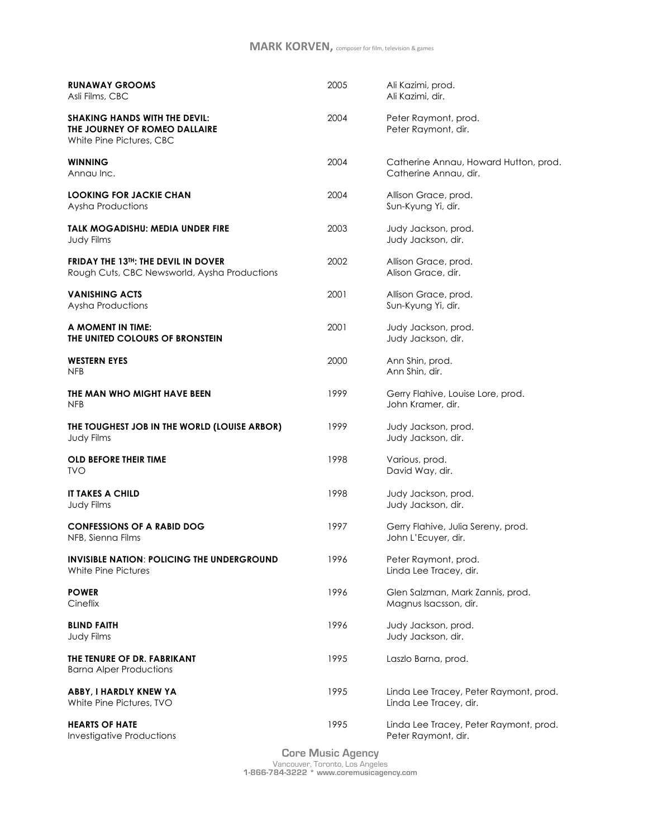| <b>RUNAWAY GROOMS</b><br>Asli Films, CBC                                                          | 2005 | Ali Kazimi, prod.<br>Ali Kazimi, dir.                            |
|---------------------------------------------------------------------------------------------------|------|------------------------------------------------------------------|
| <b>SHAKING HANDS WITH THE DEVIL:</b><br>THE JOURNEY OF ROMEO DALLAIRE<br>White Pine Pictures, CBC | 2004 | Peter Raymont, prod.<br>Peter Raymont, dir.                      |
| <b>WINNING</b><br>Annau Inc.                                                                      | 2004 | Catherine Annau, Howard Hutton, prod.<br>Catherine Annau, dir.   |
| <b>LOOKING FOR JACKIE CHAN</b><br>Aysha Productions                                               | 2004 | Allison Grace, prod.<br>Sun-Kyung Yi, dir.                       |
| TALK MOGADISHU: MEDIA UNDER FIRE<br>Judy Films                                                    | 2003 | Judy Jackson, prod.<br>Judy Jackson, dir.                        |
| <b>FRIDAY THE 13TH: THE DEVIL IN DOVER</b><br>Rough Cuts, CBC Newsworld, Aysha Productions        | 2002 | Allison Grace, prod.<br>Alison Grace, dir.                       |
| <b>VANISHING ACTS</b><br>Aysha Productions                                                        | 2001 | Allison Grace, prod.<br>Sun-Kyung Yi, dir.                       |
| A MOMENT IN TIME:<br>THE UNITED COLOURS OF BRONSTEIN                                              | 2001 | Judy Jackson, prod.<br>Judy Jackson, dir.                        |
| <b>WESTERN EYES</b><br><b>NFB</b>                                                                 | 2000 | Ann Shin, prod.<br>Ann Shin, dir.                                |
| THE MAN WHO MIGHT HAVE BEEN<br><b>NFB</b>                                                         | 1999 | Gerry Flahive, Louise Lore, prod.<br>John Kramer, dir.           |
| THE TOUGHEST JOB IN THE WORLD (LOUISE ARBOR)<br>Judy Films                                        | 1999 | Judy Jackson, prod.<br>Judy Jackson, dir.                        |
| <b>OLD BEFORE THEIR TIME</b><br><b>TVO</b>                                                        | 1998 | Various, prod.<br>David Way, dir.                                |
| <b>IT TAKES A CHILD</b><br>Judy Films                                                             | 1998 | Judy Jackson, prod.<br>Judy Jackson, dir.                        |
| <b>CONFESSIONS OF A RABID DOG</b><br>NFB, Sienna Films                                            | 1997 | Gerry Flahive, Julia Sereny, prod.<br>John L'Ecuyer, dir.        |
| <b>INVISIBLE NATION: POLICING THE UNDERGROUND</b><br>White Pine Pictures                          | 1996 | Peter Raymont, prod.<br>Linda Lee Tracey, dir.                   |
| <b>POWER</b><br>Cineflix                                                                          | 1996 | Glen Salzman, Mark Zannis, prod.<br>Magnus Isacsson, dir.        |
| <b>BLIND FAITH</b><br>Judy Films                                                                  | 1996 | Judy Jackson, prod.<br>Judy Jackson, dir.                        |
| THE TENURE OF DR. FABRIKANT<br><b>Barna Alper Productions</b>                                     | 1995 | Laszlo Barna, prod.                                              |
| ABBY, I HARDLY KNEW YA<br>White Pine Pictures, TVO                                                | 1995 | Linda Lee Tracey, Peter Raymont, prod.<br>Linda Lee Tracey, dir. |
| <b>HEARTS OF HATE</b><br>Investigative Productions                                                | 1995 | Linda Lee Tracey, Peter Raymont, prod.<br>Peter Raymont, dir.    |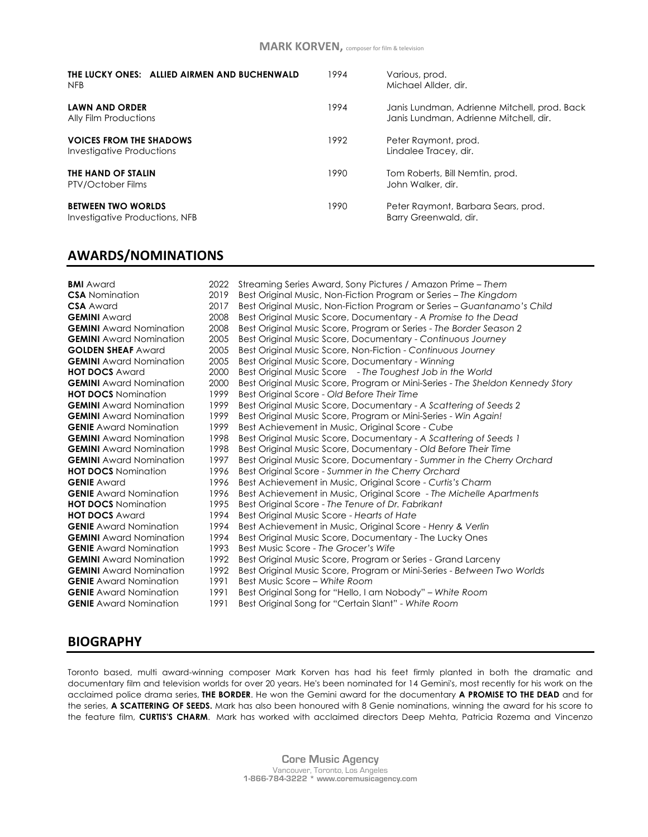| THE LUCKY ONES: ALLIED AIRMEN AND BUCHENWALD<br>NFB         | 1994 | Various, prod.<br>Michael Allder, dir.                                                 |
|-------------------------------------------------------------|------|----------------------------------------------------------------------------------------|
| <b>LAWN AND ORDER</b><br>Ally Film Productions              | 1994 | Janis Lundman, Adrienne Mitchell, prod. Back<br>Janis Lundman, Adrienne Mitchell, dir. |
| <b>VOICES FROM THE SHADOWS</b><br>Investigative Productions | 1992 | Peter Raymont, prod.<br>Lindalee Tracey, dir.                                          |
| THE HAND OF STALIN<br>PTV/October Films                     | 1990 | Tom Roberts, Bill Nemtin, prod.<br>John Walker, dir.                                   |
| <b>BETWEEN TWO WORLDS</b><br>Investigative Productions, NFB | 1990 | Peter Raymont, Barbara Sears, prod.<br>Barry Greenwald, dir.                           |

#### **AWARDS/NOMINATIONS**

| <b>BMI</b> Award               | 2022 | Streaming Series Award, Sony Pictures / Amazon Prime – Them                   |
|--------------------------------|------|-------------------------------------------------------------------------------|
| <b>CSA</b> Nomination          | 2019 | Best Original Music, Non-Fiction Program or Series – The Kingdom              |
| <b>CSA</b> Award               | 2017 | Best Original Music, Non-Fiction Program or Series - Guantanamo's Child       |
| <b>GEMINI</b> Award            | 2008 | Best Original Music Score, Documentary - A Promise to the Dead                |
| <b>GEMINI</b> Award Nomination | 2008 | Best Original Music Score, Program or Series - The Border Season 2            |
| <b>GEMINI</b> Award Nomination | 2005 | Best Original Music Score, Documentary - Continuous Journey                   |
| <b>GOLDEN SHEAF Award</b>      | 2005 | Best Original Music Score, Non-Fiction - Continuous Journey                   |
| <b>GEMINI</b> Award Nomination | 2005 | Best Original Music Score, Documentary - Winning                              |
| <b>HOT DOCS Award</b>          | 2000 | Best Original Music Score - The Toughest Job in the World                     |
| <b>GEMINI</b> Award Nomination | 2000 | Best Original Music Score, Program or Mini-Series - The Sheldon Kennedy Story |
| <b>HOT DOCS</b> Nomination     | 1999 | Best Original Score - Old Before Their Time                                   |
| <b>GEMINI</b> Award Nomination | 1999 | Best Original Music Score, Documentary - A Scattering of Seeds 2              |
| <b>GEMINI</b> Award Nomination | 1999 | Best Original Music Score, Program or Mini-Series - Win Again!                |
| <b>GENIE</b> Award Nomination  | 1999 | Best Achievement in Music, Original Score - Cube                              |
| <b>GEMINI</b> Award Nomination | 1998 | Best Original Music Score, Documentary - A Scattering of Seeds 1              |
| <b>GEMINI</b> Award Nomination | 1998 | Best Original Music Score, Documentary - Old Before Their Time                |
| <b>GEMINI</b> Award Nomination | 1997 | Best Original Music Score, Documentary - Summer in the Cherry Orchard         |
| <b>HOT DOCS</b> Nomination     | 1996 | Best Original Score - Summer in the Cherry Orchard                            |
| <b>GENIE</b> Award             | 1996 | Best Achievement in Music, Original Score - Curtis's Charm                    |
| <b>GENIE</b> Award Nomination  | 1996 | Best Achievement in Music, Original Score - The Michelle Apartments           |
| <b>HOT DOCS</b> Nomination     | 1995 | Best Original Score - The Tenure of Dr. Fabrikant                             |
| <b>HOT DOCS Award</b>          | 1994 | Best Original Music Score - Hearts of Hate                                    |
| <b>GENIE</b> Award Nomination  | 1994 | Best Achievement in Music, Original Score - Henry & Verlin                    |
| <b>GEMINI</b> Award Nomination | 1994 | Best Original Music Score, Documentary - The Lucky Ones                       |
| <b>GENIE</b> Award Nomination  | 1993 | Best Music Score - The Grocer's Wife                                          |
| <b>GEMINI</b> Award Nomination | 1992 | Best Original Music Score, Program or Series - Grand Larceny                  |
| <b>GEMINI</b> Award Nomination | 1992 | Best Original Music Score, Program or Mini-Series - Between Two Worlds        |
| <b>GENIE</b> Award Nomination  | 1991 | Best Music Score – White Room                                                 |
| <b>GENIE</b> Award Nomination  | 1991 | Best Original Song for "Hello, I am Nobody" – White Room                      |
| <b>GENIE</b> Award Nomination  | 1991 | Best Original Song for "Certain Slant" - White Room                           |

#### **BIOGRAPHY**

Toronto based, multi award-winning composer Mark Korven has had his feet firmly planted in both the dramatic and documentary film and television worlds for over 20 years. He's been nominated for 14 Gemini's, most recently for his work on the acclaimed police drama series, **THE BORDER**. He won the Gemini award for the documentary **A PROMISE TO THE DEAD** and for the series, **A SCATTERING OF SEEDS.** Mark has also been honoured with 8 Genie nominations, winning the award for his score to the feature film, **CURTIS'S CHARM**. Mark has worked with acclaimed directors Deep Mehta, Patricia Rozema and Vincenzo